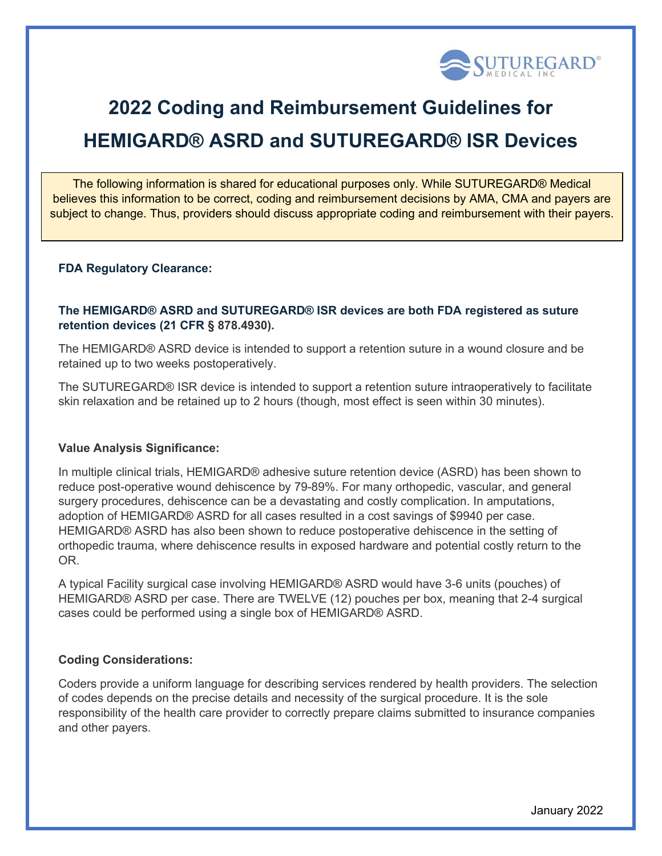

# **2022 Coding and Reimbursement Guidelines for HEMIGARD® ASRD and SUTUREGARD® ISR Devices**

The following information is shared for educational purposes only. While SUTUREGARD® Medical believes this information to be correct, coding and reimbursement decisions by AMA, CMA and payers are subject to change. Thus, providers should discuss appropriate coding and reimbursement with their payers.

### **FDA Regulatory Clearance:**

## **The HEMIGARD® ASRD and SUTUREGARD® ISR devices are both FDA registered as suture retention devices (21 CFR § 878.4930).**

The HEMIGARD® ASRD device is intended to support a retention suture in a wound closure and be retained up to two weeks postoperatively.

The SUTUREGARD® ISR device is intended to support a retention suture intraoperatively to facilitate skin relaxation and be retained up to 2 hours (though, most effect is seen within 30 minutes).

#### **Value Analysis Significance:**

In multiple clinical trials, HEMIGARD® adhesive suture retention device (ASRD) has been shown to reduce post-operative wound dehiscence by 79-89%. For many orthopedic, vascular, and general surgery procedures, dehiscence can be a devastating and costly complication. In amputations, adoption of HEMIGARD® ASRD for all cases resulted in a cost savings of \$9940 per case. HEMIGARD® ASRD has also been shown to reduce postoperative dehiscence in the setting of orthopedic trauma, where dehiscence results in exposed hardware and potential costly return to the OR.

A typical Facility surgical case involving HEMIGARD® ASRD would have 3-6 units (pouches) of HEMIGARD® ASRD per case. There are TWELVE (12) pouches per box, meaning that 2-4 surgical cases could be performed using a single box of HEMIGARD® ASRD.

## **Coding Considerations:**

Coders provide a uniform language for describing services rendered by health providers. The selection of codes depends on the precise details and necessity of the surgical procedure. It is the sole responsibility of the health care provider to correctly prepare claims submitted to insurance companies and other payers.